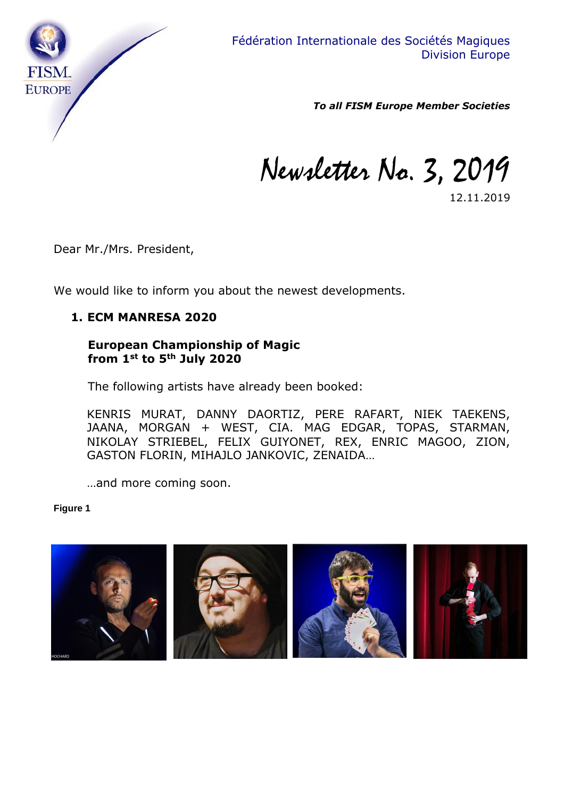

*To all FISM Europe Member Societies*

Newsletter No. 3, 2019

12.11.2019

Dear Mr./Mrs. President,

We would like to inform you about the newest developments.

#### **1. ECM MANRESA 2020**

### **European Championship of Magic from 1st to 5th July 2020**

The following artists have already been booked:

KENRIS MURAT, DANNY DAORTIZ, PERE RAFART, NIEK TAEKENS, JAANA, MORGAN + WEST, CIA. MAG EDGAR, TOPAS, STARMAN, NIKOLAY STRIEBEL, FELIX GUIYONET, REX, ENRIC MAGOO, ZION, GASTON FLORIN, MIHAJLO JANKOVIC, ZENAIDA…

…and more coming soon.

#### **Figure 1**

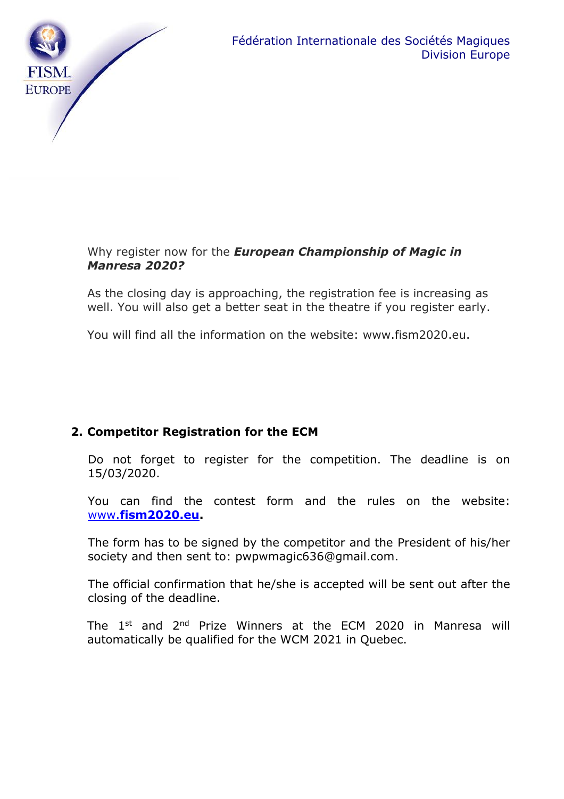

## Why register now for the *European Championship of Magic in Manresa 2020?*

As the closing day is approaching, the registration fee is increasing as well. You will also get a better seat in the theatre if you register early.

You will find all the information on the website: www.fism2020.eu.

# **2. Competitor Registration for the ECM**

Do not forget to register for the competition. The deadline is on 15/03/2020.

You can find the contest form and the rules on the website: www.**[fism2020.eu.](http://www.fism2020.eu/)**

The form has to be signed by the competitor and the President of his/her society and then sent to: pwpwmagic636@gmail.com.

The official confirmation that he/she is accepted will be sent out after the closing of the deadline.

The 1<sup>st</sup> and 2<sup>nd</sup> Prize Winners at the ECM 2020 in Manresa will automatically be qualified for the WCM 2021 in Quebec.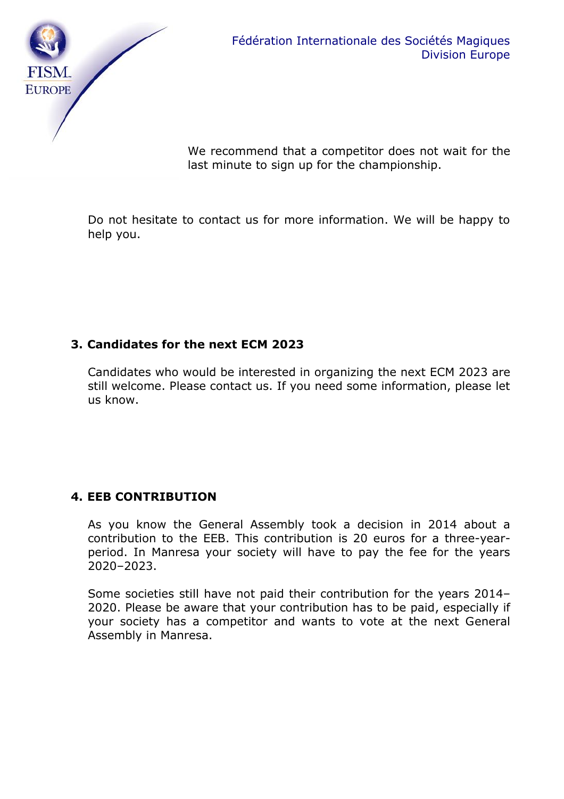

We recommend that a competitor does not wait for the last minute to sign up for the championship.

Do not hesitate to contact us for more information. We will be happy to help you.

## **3. Candidates for the next ECM 2023**

Candidates who would be interested in organizing the next ECM 2023 are still welcome. Please contact us. If you need some information, please let us know.

# **4. EEB CONTRIBUTION**

As you know the General Assembly took a decision in 2014 about a contribution to the EEB. This contribution is 20 euros for a three-yearperiod. In Manresa your society will have to pay the fee for the years 2020–2023.

Some societies still have not paid their contribution for the years 2014– 2020. Please be aware that your contribution has to be paid, especially if your society has a competitor and wants to vote at the next General Assembly in Manresa.